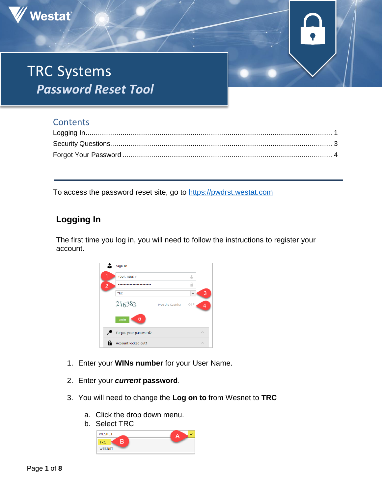

## **Contents**

Westat®

To access the password reset site, go to https://pwdrst.westat.com

# <span id="page-0-0"></span>**Logging In**

The first time you log in, you will need to follow the instructions to register your account.



- 1. Enter your **WINs number** for your User Name.
- 2. Enter your *current* **password**.
- 3. You will need to change the **Log on to** from Wesnet to **TRC**
	- a. Click the drop down menu.
	- b. Select TRC

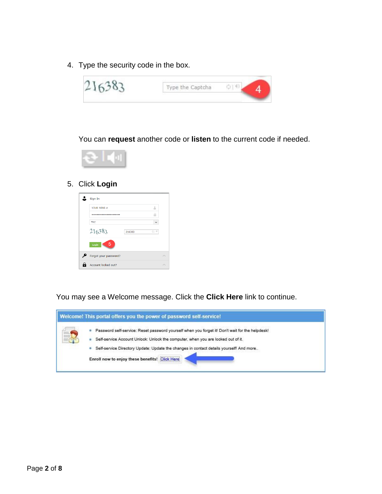4. Type the security code in the box.



You can **request** another code or **listen** to the current code if needed.



#### 5. Click **Login**



You may see a Welcome message. Click the **Click Here** link to continue.

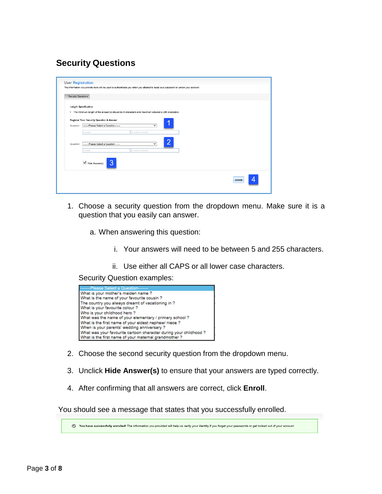## <span id="page-2-0"></span>**Security Questions**

| Security Questions |                                                     |                                                                                                    |  |  |
|--------------------|-----------------------------------------------------|----------------------------------------------------------------------------------------------------|--|--|
|                    | <b>Length Specification</b>                         |                                                                                                    |  |  |
|                    |                                                     | . The minimum length of the answer(s) should be 5 characters and maximum allowed is 255 characters |  |  |
|                    | <b>Register Your Security Question &amp; Answer</b> |                                                                                                    |  |  |
| Question:          | --------Please Select a Question--------            | $\checkmark$                                                                                       |  |  |
|                    | Answer                                              | Confirm Answer                                                                                     |  |  |
| Question:          | -------Please Select a Question-------              | $\checkmark$                                                                                       |  |  |
|                    | Answer                                              | Confirm Answer                                                                                     |  |  |
|                    |                                                     |                                                                                                    |  |  |
|                    | 3<br>$\blacktriangleright$ Hide Answer(s)           |                                                                                                    |  |  |
|                    |                                                     |                                                                                                    |  |  |

- 1. Choose a security question from the dropdown menu. Make sure it is a question that you easily can answer.
	- a. When answering this question:
		- i. Your answers will need to be between 5 and 255 characters.
		- ii. Use either all CAPS or all lower case characters.

Security Question examples:



- 2. Choose the second security question from the dropdown menu.
- 3. Unclick **Hide Answer(s)** to ensure that your answers are typed correctly.
- 4. After confirming that all answers are correct, click **Enroll**.

You should see a message that states that you successfully enrolled.

You have successfully enrolled! The information you provided will help us verify your identity if you forget your passwords or get locked out of your account.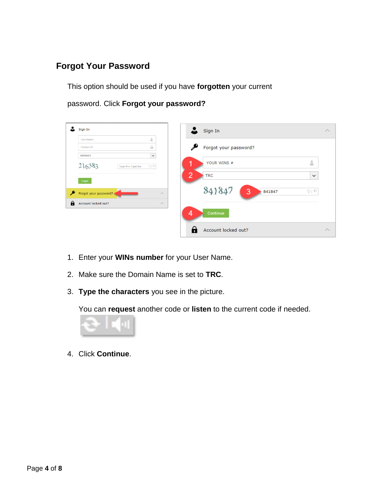### <span id="page-3-0"></span>**Forgot Your Password**

This option should be used if you have **forgotten** your current

password. Click **Forgot your password?**

|   | Sign In                                     |                                       | Sign In                                      | $\land$ |
|---|---------------------------------------------|---------------------------------------|----------------------------------------------|---------|
|   | Username                                    | å                                     |                                              |         |
|   | Password                                    | $\begin{array}{c} \hline \end{array}$ | Forgot your password?                        |         |
|   | <b>WESNET</b><br>216383<br>Type the Captcha | $\checkmark$<br>$\phi$   $\Phi$       | 8<br>YOUR WINS #<br>1                        |         |
|   | Login                                       |                                       | $\overline{2}$<br><b>TRC</b><br>$\checkmark$ |         |
| ₽ | Forgot your password?                       | $\land$                               | 3<br>O   0<br>841847                         |         |
| А | Account locked out?                         | $\curvearrowright$                    |                                              |         |
|   |                                             |                                       | 4<br>Continue                                |         |
|   |                                             |                                       | Account locked out?<br>٠                     | $\land$ |

- 1. Enter your **WINs number** for your User Name.
- 2. Make sure the Domain Name is set to **TRC**.
- 3. **Type the characters** you see in the picture.

You can **request** another code or **listen** to the current code if needed.



4. Click **Continue**.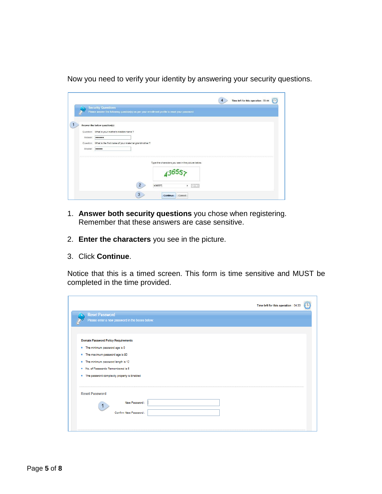Now you need to verify your identity by answering your security questions.

|           | <b>Security Questions</b>                             |                | Please answer the following question(s) as per your enrollment profile to reset your password |  |
|-----------|-------------------------------------------------------|----------------|-----------------------------------------------------------------------------------------------|--|
|           |                                                       |                |                                                                                               |  |
|           | Answer the below question(s)                          |                |                                                                                               |  |
|           | Question: What is your mother's maiden name ?         |                |                                                                                               |  |
| Answer:   |                                                       |                |                                                                                               |  |
| Question: | What is the first name of your maternal grandmother ? |                |                                                                                               |  |
| Answer:   |                                                       |                |                                                                                               |  |
|           |                                                       |                |                                                                                               |  |
|           |                                                       |                | Type the characters you see in the picture below.                                             |  |
|           |                                                       |                |                                                                                               |  |
|           |                                                       |                |                                                                                               |  |
|           |                                                       | $\overline{2}$ | 436557                                                                                        |  |
|           |                                                       |                | $\boldsymbol{\times}$                                                                         |  |

- 1. **Answer both security questions** you chose when registering. Remember that these answers are case sensitive.
- 2. **Enter the characters** you see in the picture.
- 3. Click **Continue**.

Notice that this is a timed screen. This form is time sensitive and MUST be completed in the time provided.

|                                            |                                                 |  | Time left for this operation : 04:33 |  |
|--------------------------------------------|-------------------------------------------------|--|--------------------------------------|--|
| <b>Reset Password</b>                      |                                                 |  |                                      |  |
|                                            | Please enter a new password in the boxes below: |  |                                      |  |
|                                            |                                                 |  |                                      |  |
|                                            |                                                 |  |                                      |  |
| <b>Domain Password Policy Requirements</b> |                                                 |  |                                      |  |
| The minimum password age is 0<br>۰         |                                                 |  |                                      |  |
| The maximum password age is 90<br>۰        |                                                 |  |                                      |  |
| The minimum password length is 12<br>٠     |                                                 |  |                                      |  |
| No. of Passwords Remembered is 5<br>٠      |                                                 |  |                                      |  |
| ٠                                          | The password complexity property is Enabled     |  |                                      |  |
|                                            |                                                 |  |                                      |  |
|                                            |                                                 |  |                                      |  |
| <b>Reset Password</b>                      |                                                 |  |                                      |  |
|                                            | New Password:                                   |  |                                      |  |
|                                            |                                                 |  |                                      |  |
|                                            | Confirm New Password:                           |  |                                      |  |
|                                            |                                                 |  |                                      |  |
|                                            |                                                 |  |                                      |  |